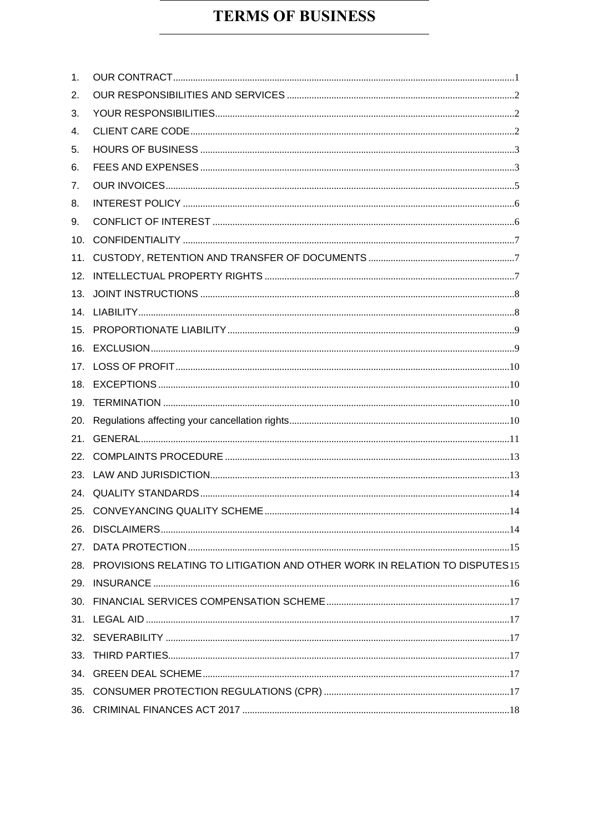# **TERMS OF BUSINESS**

| 1 <sub>1</sub> |                                                                                 |  |
|----------------|---------------------------------------------------------------------------------|--|
| 2.             |                                                                                 |  |
| 3.             |                                                                                 |  |
| 4.             |                                                                                 |  |
| 5.             |                                                                                 |  |
| 6.             |                                                                                 |  |
| 7.             |                                                                                 |  |
| 8.             |                                                                                 |  |
| 9.             |                                                                                 |  |
| 10.            |                                                                                 |  |
| 11.            |                                                                                 |  |
| 12.            |                                                                                 |  |
|                |                                                                                 |  |
|                |                                                                                 |  |
|                |                                                                                 |  |
|                |                                                                                 |  |
|                |                                                                                 |  |
|                |                                                                                 |  |
| 19.            |                                                                                 |  |
| 20.            |                                                                                 |  |
| 21.            |                                                                                 |  |
|                |                                                                                 |  |
|                |                                                                                 |  |
|                |                                                                                 |  |
|                |                                                                                 |  |
|                |                                                                                 |  |
|                |                                                                                 |  |
|                | 28. PROVISIONS RELATING TO LITIGATION AND OTHER WORK IN RELATION TO DISPUTES 15 |  |
| 29.            |                                                                                 |  |
|                |                                                                                 |  |
|                |                                                                                 |  |
|                |                                                                                 |  |
| 33.            |                                                                                 |  |
|                |                                                                                 |  |
|                |                                                                                 |  |
|                |                                                                                 |  |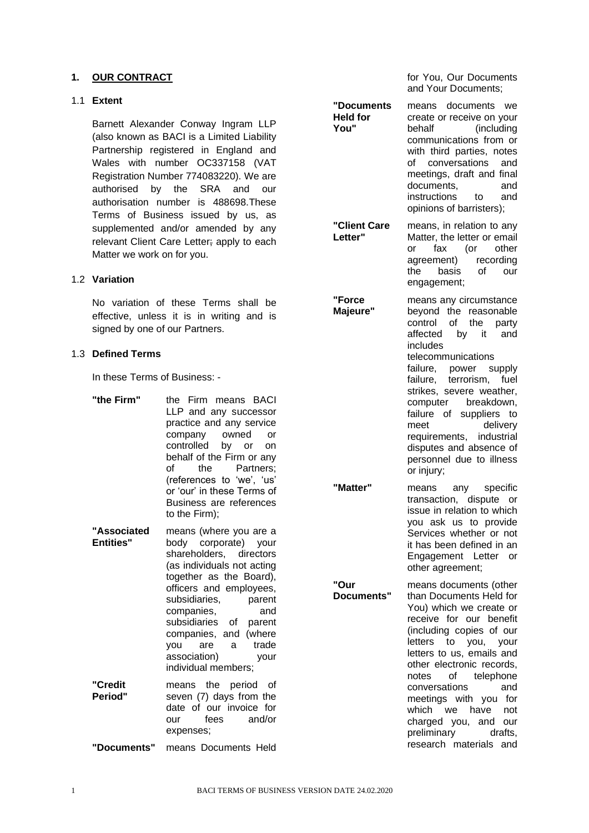#### <span id="page-1-0"></span>**1. OUR CONTRACT**

#### 1.1 **Extent**

Barnett Alexander Conway Ingram LLP (also known as BACI is a Limited Liability Partnership registered in England and Wales with number OC337158 (VAT Registration Number 774083220). We are authorised by the SRA and our authorisation number is 488698.These Terms of Business issued by us, as supplemented and/or amended by any relevant Client Care Letter; apply to each Matter we work on for you.

#### 1.2 **Variation**

No variation of these Terms shall be effective, unless it is in writing and is signed by one of our Partners.

#### 1.3 **Defined Terms**

In these Terms of Business: -

**"the Firm"** the Firm means BACI LLP and any successor practice and any service company owned or controlled by or on behalf of the Firm or any of the Partners; (references to 'we', 'us' or 'our' in these Terms of Business are references to the Firm);

**"Associated Entities"** means (where you are a body corporate) your shareholders, directors (as individuals not acting together as the Board), officers and employees, subsidiaries, parent companies, and subsidiaries of parent companies, and (where you are a trade association) your individual members; **"Credit**  means the period of

**Period"** seven (7) days from the date of our invoice for our fees and/or expenses;

**"Documents"** means Documents Held

for You, Our Documents and Your Documents;

**"Documents Held for You"** means documents we create or receive on your behalf (including communications from or with third parties, notes of conversations and meetings, draft and final documents, and instructions to and opinions of barristers); **"Client Care Letter"** means, in relation to any Matter, the letter or email or fax (or other agreement) recording the basis of our engagement; **"Force Majeure"** means any circumstance

beyond the reasonable control of the party affected by it and includes telecommunications failure, power supply failure, terrorism, fuel strikes, severe weather, computer breakdown, failure of suppliers to meet delivery requirements, industrial disputes and absence of personnel due to illness or injury;

**"Matter"** means any specific transaction, dispute or issue in relation to which you ask us to provide Services whether or not it has been defined in an Engagement Letter or other agreement;

**Documents"** means documents (other than Documents Held for You) which we create or receive for our benefit (including copies of our letters to you, your letters to us, emails and other electronic records, notes of telephone conversations and meetings with you for which we have not charged you, and our preliminary drafts, research materials and

**"Our**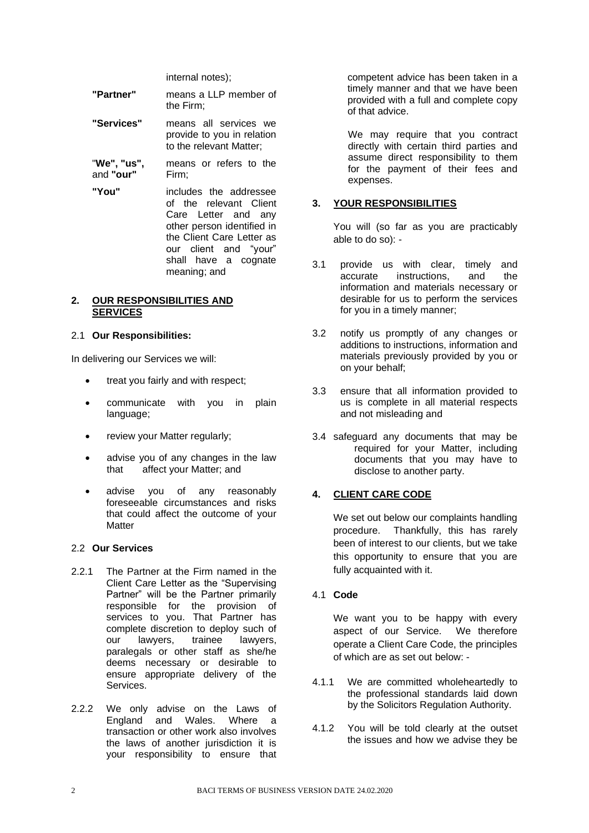internal notes);

| "Partner"  | means a LLP member of<br>the Firm;                                             |
|------------|--------------------------------------------------------------------------------|
| "Services" | means all services we<br>provide to you in relation<br>to the relevant Matter; |

"**We", "us",**  and **"our"** means or refers to the Firm;

**"You"** includes the addressee of the relevant Client Care Letter and any other person identified in the Client Care Letter as our client and "your" shall have a cognate meaning; and

#### <span id="page-2-0"></span>**2. OUR RESPONSIBILITIES AND SERVICES**

#### 2.1 **Our Responsibilities:**

In delivering our Services we will:

- treat you fairly and with respect;
- communicate with you in plain language;
- review your Matter regularly;
- advise you of any changes in the law that affect your Matter; and
- advise you of any reasonably foreseeable circumstances and risks that could affect the outcome of your **Matter**

#### 2.2 **Our Services**

- 2.2.1 The Partner at the Firm named in the Client Care Letter as the "Supervising Partner" will be the Partner primarily responsible for the provision of services to you. That Partner has complete discretion to deploy such of our lawyers, trainee lawyers, paralegals or other staff as she/he deems necessary or desirable to ensure appropriate delivery of the Services.
- 2.2.2 We only advise on the Laws of England and Wales. Where a transaction or other work also involves the laws of another jurisdiction it is your responsibility to ensure that

competent advice has been taken in a timely manner and that we have been provided with a full and complete copy of that advice.

We may require that you contract directly with certain third parties and assume direct responsibility to them for the payment of their fees and expenses.

#### <span id="page-2-1"></span>**3. YOUR RESPONSIBILITIES**

You will (so far as you are practicably able to do so): -

- 3.1 provide us with clear, timely and accurate instructions, and the information and materials necessary or desirable for us to perform the services for you in a timely manner;
- 3.2 notify us promptly of any changes or additions to instructions, information and materials previously provided by you or on your behalf;
- 3.3 ensure that all information provided to us is complete in all material respects and not misleading and
- 3.4 safeguard any documents that may be required for your Matter, including documents that you may have to disclose to another party.

## <span id="page-2-2"></span>**4. CLIENT CARE CODE**

We set out below our complaints handling procedure. Thankfully, this has rarely been of interest to our clients, but we take this opportunity to ensure that you are fully acquainted with it.

#### 4.1 **Code**

We want you to be happy with every aspect of our Service. We therefore operate a Client Care Code, the principles of which are as set out below: -

- 4.1.1 We are committed wholeheartedly to the professional standards laid down by the Solicitors Regulation Authority.
- 4.1.2 You will be told clearly at the outset the issues and how we advise they be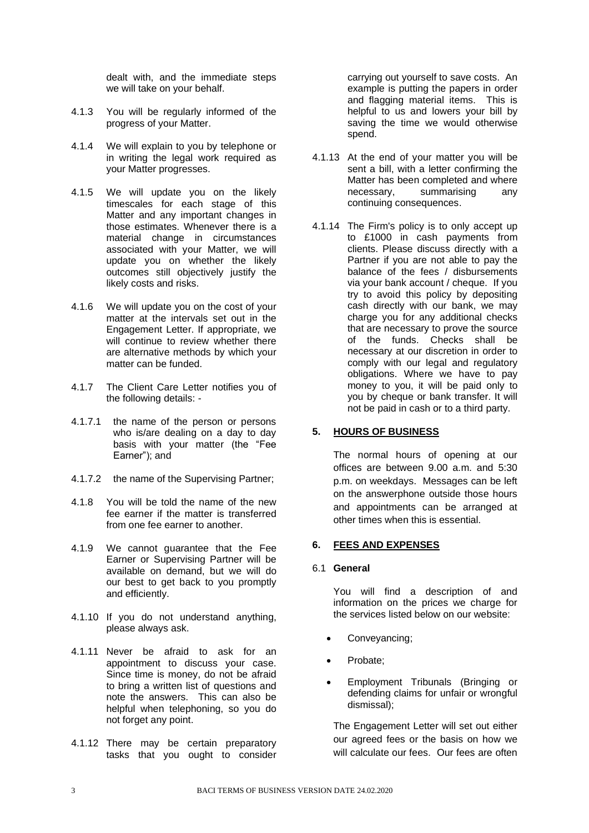dealt with, and the immediate steps we will take on your behalf.

- 4.1.3 You will be regularly informed of the progress of your Matter.
- 4.1.4 We will explain to you by telephone or in writing the legal work required as your Matter progresses.
- 4.1.5 We will update you on the likely timescales for each stage of this Matter and any important changes in those estimates. Whenever there is a material change in circumstances associated with your Matter, we will update you on whether the likely outcomes still objectively justify the likely costs and risks.
- 4.1.6 We will update you on the cost of your matter at the intervals set out in the Engagement Letter. If appropriate, we will continue to review whether there are alternative methods by which your matter can be funded.
- 4.1.7 The Client Care Letter notifies you of the following details: -
- 4.1.7.1 the name of the person or persons who is/are dealing on a day to day basis with your matter (the "Fee Earner"); and
- 4.1.7.2 the name of the Supervising Partner;
- 4.1.8 You will be told the name of the new fee earner if the matter is transferred from one fee earner to another.
- 4.1.9 We cannot guarantee that the Fee Earner or Supervising Partner will be available on demand, but we will do our best to get back to you promptly and efficiently.
- 4.1.10 If you do not understand anything, please always ask.
- 4.1.11 Never be afraid to ask for an appointment to discuss your case. Since time is money, do not be afraid to bring a written list of questions and note the answers. This can also be helpful when telephoning, so you do not forget any point.
- 4.1.12 There may be certain preparatory tasks that you ought to consider

carrying out yourself to save costs. An example is putting the papers in order and flagging material items. This is helpful to us and lowers your bill by saving the time we would otherwise spend.

- 4.1.13 At the end of your matter you will be sent a bill, with a letter confirming the Matter has been completed and where necessary, summarising any continuing consequences.
- 4.1.14 The Firm's policy is to only accept up to £1000 in cash payments from clients. Please discuss directly with a Partner if you are not able to pay the balance of the fees / disbursements via your bank account / cheque. If you try to avoid this policy by depositing cash directly with our bank, we may charge you for any additional checks that are necessary to prove the source of the funds. Checks shall be necessary at our discretion in order to comply with our legal and regulatory obligations. Where we have to pay money to you, it will be paid only to you by cheque or bank transfer. It will not be paid in cash or to a third party.

## <span id="page-3-0"></span>**5. HOURS OF BUSINESS**

The normal hours of opening at our offices are between 9.00 a.m. and 5:30 p.m. on weekdays. Messages can be left on the answerphone outside those hours and appointments can be arranged at other times when this is essential.

## <span id="page-3-1"></span>**6. FEES AND EXPENSES**

#### 6.1 **General**

You will find a description of and information on the prices we charge for the services listed below on our website:

- Conveyancing;
- Probate;
- Employment Tribunals (Bringing or defending claims for unfair or wrongful dismissal);

The Engagement Letter will set out either our agreed fees or the basis on how we will calculate our fees. Our fees are often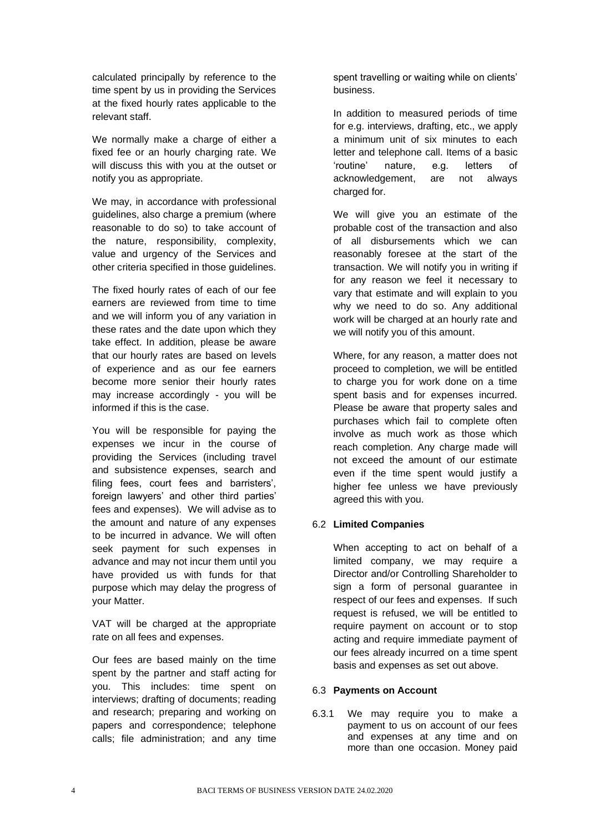calculated principally by reference to the time spent by us in providing the Services at the fixed hourly rates applicable to the relevant staff.

We normally make a charge of either a fixed fee or an hourly charging rate. We will discuss this with you at the outset or notify you as appropriate.

We may, in accordance with professional guidelines, also charge a premium (where reasonable to do so) to take account of the nature, responsibility, complexity, value and urgency of the Services and other criteria specified in those guidelines.

The fixed hourly rates of each of our fee earners are reviewed from time to time and we will inform you of any variation in these rates and the date upon which they take effect. In addition, please be aware that our hourly rates are based on levels of experience and as our fee earners become more senior their hourly rates may increase accordingly - you will be informed if this is the case.

You will be responsible for paying the expenses we incur in the course of providing the Services (including travel and subsistence expenses, search and filing fees, court fees and barristers', foreign lawyers' and other third parties' fees and expenses). We will advise as to the amount and nature of any expenses to be incurred in advance. We will often seek payment for such expenses in advance and may not incur them until you have provided us with funds for that purpose which may delay the progress of your Matter.

VAT will be charged at the appropriate rate on all fees and expenses.

Our fees are based mainly on the time spent by the partner and staff acting for you. This includes: time spent on interviews; drafting of documents; reading and research; preparing and working on papers and correspondence; telephone calls; file administration; and any time

spent travelling or waiting while on clients' business.

In addition to measured periods of time for e.g. interviews, drafting, etc., we apply a minimum unit of six minutes to each letter and telephone call. Items of a basic 'routine' nature, e.g. letters of acknowledgement, are not always charged for.

We will give you an estimate of the probable cost of the transaction and also of all disbursements which we can reasonably foresee at the start of the transaction. We will notify you in writing if for any reason we feel it necessary to vary that estimate and will explain to you why we need to do so. Any additional work will be charged at an hourly rate and we will notify you of this amount.

Where, for any reason, a matter does not proceed to completion, we will be entitled to charge you for work done on a time spent basis and for expenses incurred. Please be aware that property sales and purchases which fail to complete often involve as much work as those which reach completion. Any charge made will not exceed the amount of our estimate even if the time spent would justify a higher fee unless we have previously agreed this with you.

## 6.2 **Limited Companies**

When accepting to act on behalf of a limited company, we may require a Director and/or Controlling Shareholder to sign a form of personal guarantee in respect of our fees and expenses. If such request is refused, we will be entitled to require payment on account or to stop acting and require immediate payment of our fees already incurred on a time spent basis and expenses as set out above.

## 6.3 **Payments on Account**

6.3.1 We may require you to make a payment to us on account of our fees and expenses at any time and on more than one occasion. Money paid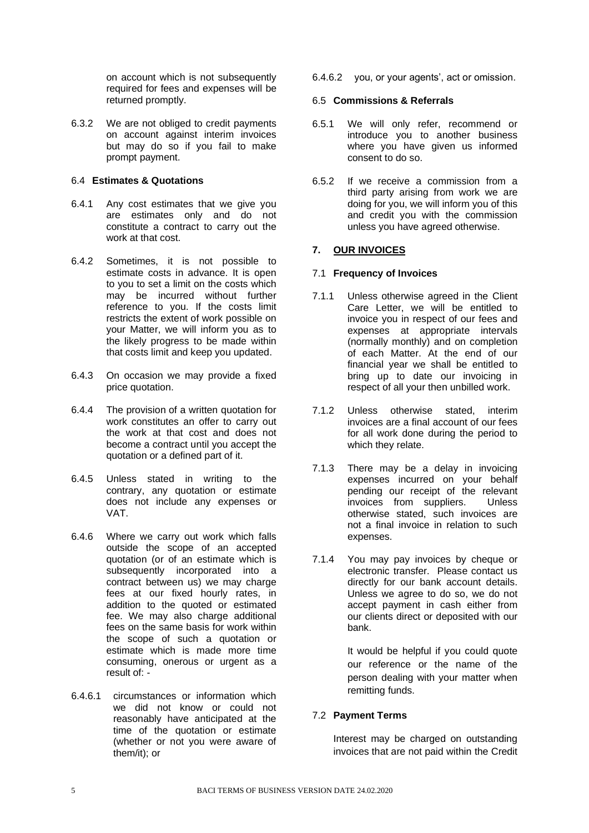on account which is not subsequently required for fees and expenses will be returned promptly.

6.3.2 We are not obliged to credit payments on account against interim invoices but may do so if you fail to make prompt payment.

## 6.4 **Estimates & Quotations**

- 6.4.1 Any cost estimates that we give you are estimates only and do not constitute a contract to carry out the work at that cost.
- 6.4.2 Sometimes, it is not possible to estimate costs in advance. It is open to you to set a limit on the costs which may be incurred without further reference to you. If the costs limit restricts the extent of work possible on your Matter, we will inform you as to the likely progress to be made within that costs limit and keep you updated.
- 6.4.3 On occasion we may provide a fixed price quotation.
- 6.4.4 The provision of a written quotation for work constitutes an offer to carry out the work at that cost and does not become a contract until you accept the quotation or a defined part of it.
- 6.4.5 Unless stated in writing to the contrary, any quotation or estimate does not include any expenses or VAT.
- 6.4.6 Where we carry out work which falls outside the scope of an accepted quotation (or of an estimate which is subsequently incorporated into a contract between us) we may charge fees at our fixed hourly rates, in addition to the quoted or estimated fee. We may also charge additional fees on the same basis for work within the scope of such a quotation or estimate which is made more time consuming, onerous or urgent as a result of: -
- 6.4.6.1 circumstances or information which we did not know or could not reasonably have anticipated at the time of the quotation or estimate (whether or not you were aware of them/it); or

6.4.6.2 you, or your agents', act or omission.

#### 6.5 **Commissions & Referrals**

- 6.5.1 We will only refer, recommend or introduce you to another business where you have given us informed consent to do so.
- 6.5.2 If we receive a commission from a third party arising from work we are doing for you, we will inform you of this and credit you with the commission unless you have agreed otherwise.

## <span id="page-5-0"></span>**7. OUR INVOICES**

#### 7.1 **Frequency of Invoices**

- 7.1.1 Unless otherwise agreed in the Client Care Letter, we will be entitled to invoice you in respect of our fees and expenses at appropriate intervals (normally monthly) and on completion of each Matter. At the end of our financial year we shall be entitled to bring up to date our invoicing in respect of all your then unbilled work.
- 7.1.2 Unless otherwise stated, interim invoices are a final account of our fees for all work done during the period to which they relate.
- 7.1.3 There may be a delay in invoicing expenses incurred on your behalf pending our receipt of the relevant invoices from suppliers. Unless otherwise stated, such invoices are not a final invoice in relation to such expenses.
- 7.1.4 You may pay invoices by cheque or electronic transfer. Please contact us directly for our bank account details. Unless we agree to do so, we do not accept payment in cash either from our clients direct or deposited with our bank.

It would be helpful if you could quote our reference or the name of the person dealing with your matter when remitting funds.

#### 7.2 **Payment Terms**

Interest may be charged on outstanding invoices that are not paid within the Credit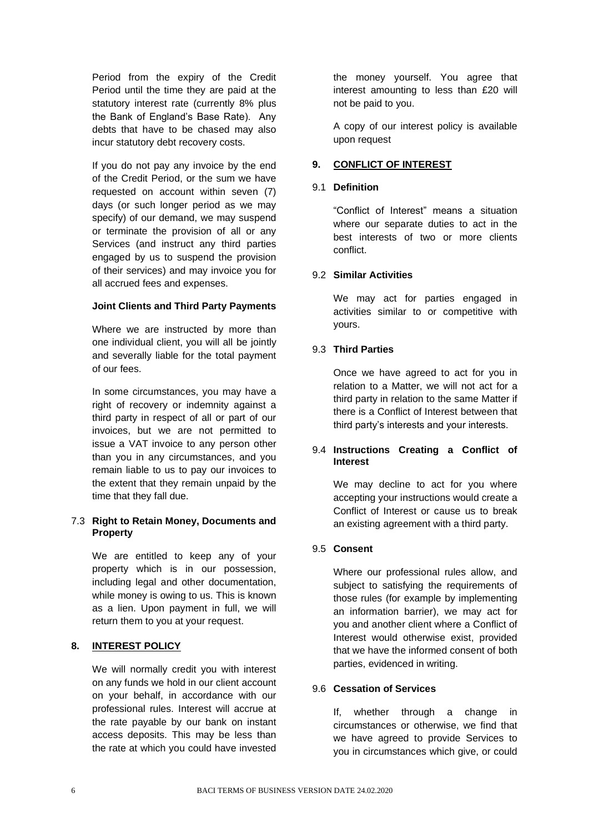Period from the expiry of the Credit Period until the time they are paid at the statutory interest rate (currently 8% plus the Bank of England's Base Rate). Any debts that have to be chased may also incur statutory debt recovery costs.

If you do not pay any invoice by the end of the Credit Period, or the sum we have requested on account within seven (7) days (or such longer period as we may specify) of our demand, we may suspend or terminate the provision of all or any Services (and instruct any third parties engaged by us to suspend the provision of their services) and may invoice you for all accrued fees and expenses.

## **Joint Clients and Third Party Payments**

Where we are instructed by more than one individual client, you will all be jointly and severally liable for the total payment of our fees.

In some circumstances, you may have a right of recovery or indemnity against a third party in respect of all or part of our invoices, but we are not permitted to issue a VAT invoice to any person other than you in any circumstances, and you remain liable to us to pay our invoices to the extent that they remain unpaid by the time that they fall due.

## 7.3 **Right to Retain Money, Documents and Property**

We are entitled to keep any of your property which is in our possession, including legal and other documentation, while money is owing to us. This is known as a lien. Upon payment in full, we will return them to you at your request.

## <span id="page-6-0"></span>**8. INTEREST POLICY**

We will normally credit you with interest on any funds we hold in our client account on your behalf, in accordance with our professional rules. Interest will accrue at the rate payable by our bank on instant access deposits. This may be less than the rate at which you could have invested

the money yourself. You agree that interest amounting to less than £20 will not be paid to you.

A copy of our interest policy is available upon request

## <span id="page-6-1"></span>**9. CONFLICT OF INTEREST**

## 9.1 **Definition**

"Conflict of Interest" means a situation where our separate duties to act in the best interests of two or more clients conflict.

## 9.2 **Similar Activities**

We may act for parties engaged in activities similar to or competitive with yours.

## 9.3 **Third Parties**

Once we have agreed to act for you in relation to a Matter, we will not act for a third party in relation to the same Matter if there is a Conflict of Interest between that third party's interests and your interests.

## 9.4 **Instructions Creating a Conflict of Interest**

We may decline to act for you where accepting your instructions would create a Conflict of Interest or cause us to break an existing agreement with a third party.

## 9.5 **Consent**

Where our professional rules allow, and subject to satisfying the requirements of those rules (for example by implementing an information barrier), we may act for you and another client where a Conflict of Interest would otherwise exist, provided that we have the informed consent of both parties, evidenced in writing.

## 9.6 **Cessation of Services**

If, whether through a change in circumstances or otherwise, we find that we have agreed to provide Services to you in circumstances which give, or could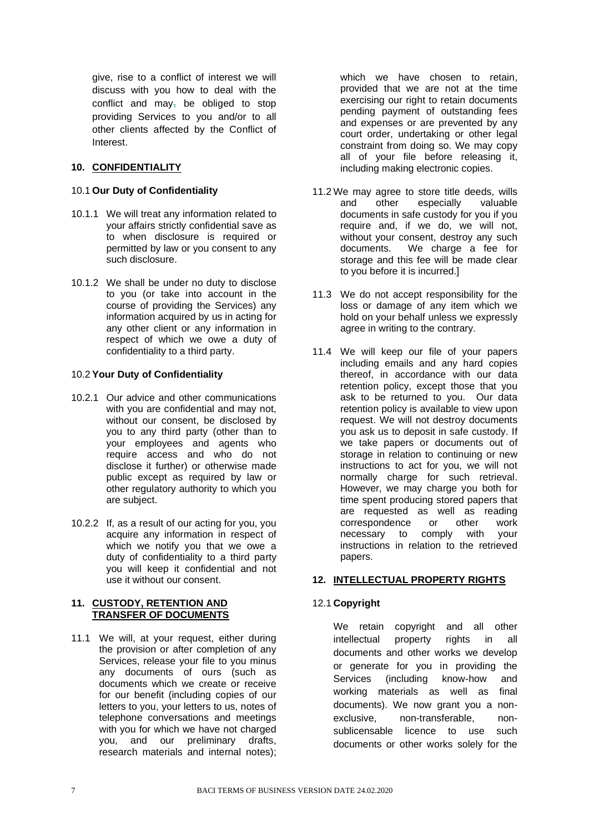give, rise to a conflict of interest we will discuss with you how to deal with the conflict and may<sub> $<sub>1</sub>$ </sub> be obliged to stop</sub> providing Services to you and/or to all other clients affected by the Conflict of Interest.

## <span id="page-7-0"></span>**10. CONFIDENTIALITY**

### 10.1 **Our Duty of Confidentiality**

- 10.1.1 We will treat any information related to your affairs strictly confidential save as to when disclosure is required or permitted by law or you consent to any such disclosure.
- 10.1.2 We shall be under no duty to disclose to you (or take into account in the course of providing the Services) any information acquired by us in acting for any other client or any information in respect of which we owe a duty of confidentiality to a third party.

## 10.2 **Your Duty of Confidentiality**

- 10.2.1 Our advice and other communications with you are confidential and may not. without our consent, be disclosed by you to any third party (other than to your employees and agents who require access and who do not disclose it further) or otherwise made public except as required by law or other regulatory authority to which you are subject.
- 10.2.2 If, as a result of our acting for you, you acquire any information in respect of which we notify you that we owe a duty of confidentiality to a third party you will keep it confidential and not use it without our consent.

#### <span id="page-7-1"></span>**11. CUSTODY, RETENTION AND TRANSFER OF DOCUMENTS**

11.1 We will, at your request, either during the provision or after completion of any Services, release your file to you minus any documents of ours (such as documents which we create or receive for our benefit (including copies of our letters to you, your letters to us, notes of telephone conversations and meetings with you for which we have not charged you, and our preliminary drafts, research materials and internal notes);

which we have chosen to retain, provided that we are not at the time exercising our right to retain documents pending payment of outstanding fees and expenses or are prevented by any court order, undertaking or other legal constraint from doing so. We may copy all of your file before releasing it, including making electronic copies.

- 11.2 We may agree to store title deeds, wills and other especially valuable documents in safe custody for you if you require and, if we do, we will not, without your consent, destroy any such documents. We charge a fee for storage and this fee will be made clear to you before it is incurred.]
- 11.3 We do not accept responsibility for the loss or damage of any item which we hold on your behalf unless we expressly agree in writing to the contrary.
- 11.4 We will keep our file of your papers including emails and any hard copies thereof, in accordance with our data retention policy, except those that you ask to be returned to you. Our data retention policy is available to view upon request. We will not destroy documents you ask us to deposit in safe custody. If we take papers or documents out of storage in relation to continuing or new instructions to act for you, we will not normally charge for such retrieval. However, we may charge you both for time spent producing stored papers that are requested as well as reading correspondence or other work necessary to comply with your instructions in relation to the retrieved papers.

## <span id="page-7-2"></span>**12. INTELLECTUAL PROPERTY RIGHTS**

## 12.1 **Copyright**

We retain copyright and all other intellectual property rights in all documents and other works we develop or generate for you in providing the Services (including know-how and working materials as well as final documents). We now grant you a nonexclusive, non-transferable, nonsublicensable licence to use such documents or other works solely for the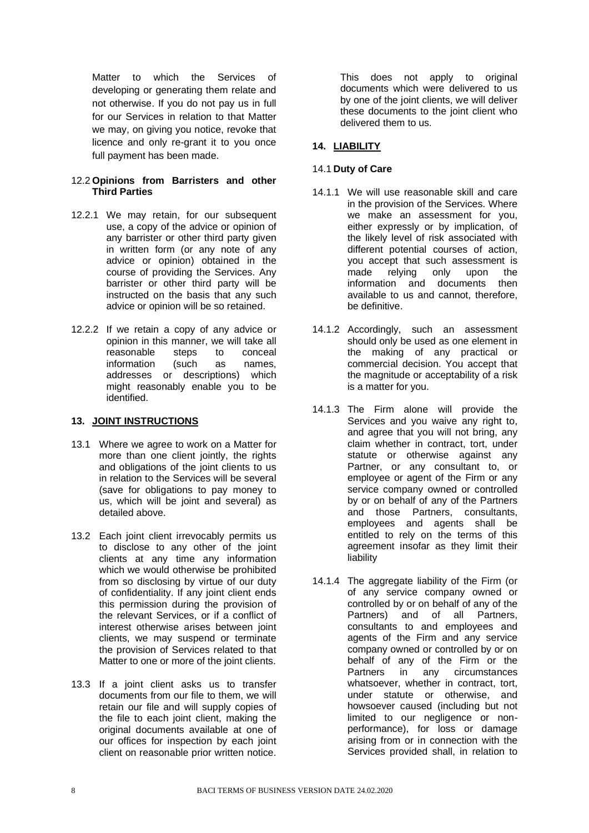Matter to which the Services of developing or generating them relate and not otherwise. If you do not pay us in full for our Services in relation to that Matter we may, on giving you notice, revoke that licence and only re-grant it to you once full payment has been made.

#### 12.2 **Opinions from Barristers and other Third Parties**

- 12.2.1 We may retain, for our subsequent use, a copy of the advice or opinion of any barrister or other third party given in written form (or any note of any advice or opinion) obtained in the course of providing the Services. Any barrister or other third party will be instructed on the basis that any such advice or opinion will be so retained.
- 12.2.2 If we retain a copy of any advice or opinion in this manner, we will take all reasonable steps to conceal<br>information (such as names. information (such as addresses or descriptions) which might reasonably enable you to be identified.

### <span id="page-8-0"></span>**13. JOINT INSTRUCTIONS**

- 13.1 Where we agree to work on a Matter for more than one client jointly, the rights and obligations of the joint clients to us in relation to the Services will be several (save for obligations to pay money to us, which will be joint and several) as detailed above.
- 13.2 Each joint client irrevocably permits us to disclose to any other of the joint clients at any time any information which we would otherwise be prohibited from so disclosing by virtue of our duty of confidentiality. If any joint client ends this permission during the provision of the relevant Services, or if a conflict of interest otherwise arises between joint clients, we may suspend or terminate the provision of Services related to that Matter to one or more of the joint clients.
- 13.3 If a joint client asks us to transfer documents from our file to them, we will retain our file and will supply copies of the file to each joint client, making the original documents available at one of our offices for inspection by each joint client on reasonable prior written notice.

This does not apply to original documents which were delivered to us by one of the joint clients, we will deliver these documents to the joint client who delivered them to us.

## <span id="page-8-1"></span>**14. LIABILITY**

## 14.1 **Duty of Care**

- 14.1.1 We will use reasonable skill and care in the provision of the Services. Where we make an assessment for you, either expressly or by implication, of the likely level of risk associated with different potential courses of action, you accept that such assessment is made relying only upon the information and documents then available to us and cannot, therefore, be definitive.
- 14.1.2 Accordingly, such an assessment should only be used as one element in the making of any practical or commercial decision. You accept that the magnitude or acceptability of a risk is a matter for you.
- 14.1.3 The Firm alone will provide the Services and you waive any right to, and agree that you will not bring, any claim whether in contract, tort, under statute or otherwise against any Partner, or any consultant to, or employee or agent of the Firm or any service company owned or controlled by or on behalf of any of the Partners and those Partners, consultants, employees and agents shall be entitled to rely on the terms of this agreement insofar as they limit their liability
- 14.1.4 The aggregate liability of the Firm (or of any service company owned or controlled by or on behalf of any of the Partners) and of all Partners, consultants to and employees and agents of the Firm and any service company owned or controlled by or on behalf of any of the Firm or the Partners in any circumstances whatsoever, whether in contract, tort, under statute or otherwise, and howsoever caused (including but not limited to our negligence or nonperformance), for loss or damage arising from or in connection with the Services provided shall, in relation to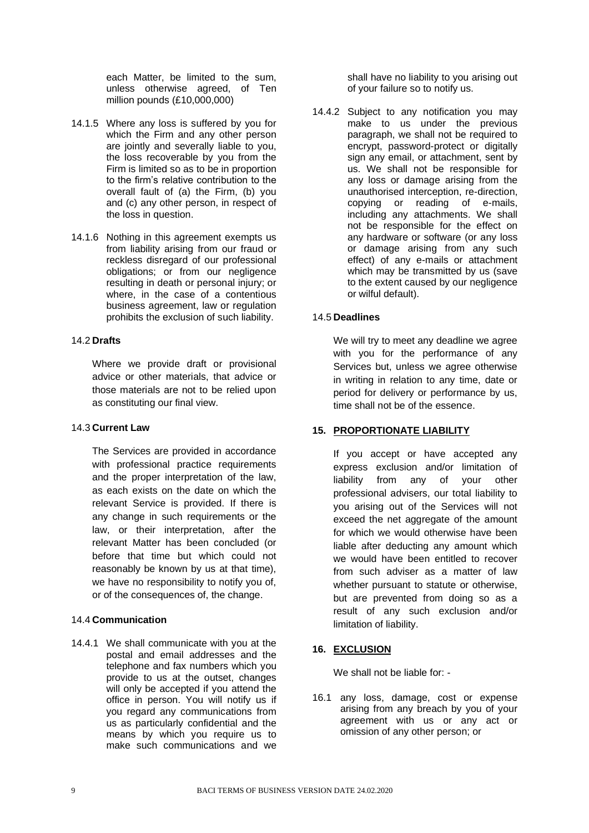each Matter, be limited to the sum, unless otherwise agreed, of Ten million pounds (£10,000,000)

- 14.1.5 Where any loss is suffered by you for which the Firm and any other person are jointly and severally liable to you, the loss recoverable by you from the Firm is limited so as to be in proportion to the firm's relative contribution to the overall fault of (a) the Firm, (b) you and (c) any other person, in respect of the loss in question.
- 14.1.6 Nothing in this agreement exempts us from liability arising from our fraud or reckless disregard of our professional obligations; or from our negligence resulting in death or personal injury; or where, in the case of a contentious business agreement, law or regulation prohibits the exclusion of such liability.

#### 14.2 **Drafts**

Where we provide draft or provisional advice or other materials, that advice or those materials are not to be relied upon as constituting our final view.

#### 14.3 **Current Law**

The Services are provided in accordance with professional practice requirements and the proper interpretation of the law, as each exists on the date on which the relevant Service is provided. If there is any change in such requirements or the law, or their interpretation, after the relevant Matter has been concluded (or before that time but which could not reasonably be known by us at that time), we have no responsibility to notify you of, or of the consequences of, the change.

## 14.4 **Communication**

14.4.1 We shall communicate with you at the postal and email addresses and the telephone and fax numbers which you provide to us at the outset, changes will only be accepted if you attend the office in person. You will notify us if you regard any communications from us as particularly confidential and the means by which you require us to make such communications and we

shall have no liability to you arising out of your failure so to notify us.

14.4.2 Subject to any notification you may make to us under the previous paragraph, we shall not be required to encrypt, password-protect or digitally sign any email, or attachment, sent by us. We shall not be responsible for any loss or damage arising from the unauthorised interception, re-direction, copying or reading of e-mails, including any attachments. We shall not be responsible for the effect on any hardware or software (or any loss or damage arising from any such effect) of any e-mails or attachment which may be transmitted by us (save to the extent caused by our negligence or wilful default).

#### 14.5 **Deadlines**

We will try to meet any deadline we agree with you for the performance of any Services but, unless we agree otherwise in writing in relation to any time, date or period for delivery or performance by us, time shall not be of the essence.

## <span id="page-9-0"></span>**15. PROPORTIONATE LIABILITY**

If you accept or have accepted any express exclusion and/or limitation of liability from any of your other professional advisers, our total liability to you arising out of the Services will not exceed the net aggregate of the amount for which we would otherwise have been liable after deducting any amount which we would have been entitled to recover from such adviser as a matter of law whether pursuant to statute or otherwise, but are prevented from doing so as a result of any such exclusion and/or limitation of liability.

## <span id="page-9-1"></span>**16. EXCLUSION**

We shall not be liable for: -

16.1 any loss, damage, cost or expense arising from any breach by you of your agreement with us or any act or omission of any other person; or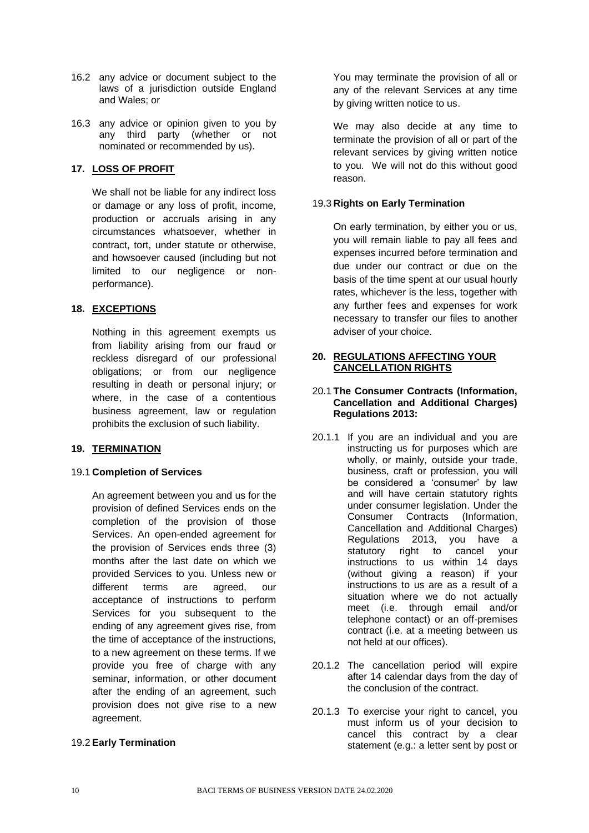- 16.2 any advice or document subject to the laws of a jurisdiction outside England and Wales; or
- 16.3 any advice or opinion given to you by any third party (whether or not nominated or recommended by us).

## <span id="page-10-0"></span>**17. LOSS OF PROFIT**

We shall not be liable for any indirect loss or damage or any loss of profit, income, production or accruals arising in any circumstances whatsoever, whether in contract, tort, under statute or otherwise, and howsoever caused (including but not limited to our negligence or nonperformance).

## <span id="page-10-1"></span>**18. EXCEPTIONS**

Nothing in this agreement exempts us from liability arising from our fraud or reckless disregard of our professional obligations; or from our negligence resulting in death or personal injury; or where, in the case of a contentious business agreement, law or regulation prohibits the exclusion of such liability.

## <span id="page-10-2"></span>**19. TERMINATION**

## 19.1 **Completion of Services**

An agreement between you and us for the provision of defined Services ends on the completion of the provision of those Services. An open-ended agreement for the provision of Services ends three (3) months after the last date on which we provided Services to you. Unless new or different terms are agreed, our acceptance of instructions to perform Services for you subsequent to the ending of any agreement gives rise, from the time of acceptance of the instructions, to a new agreement on these terms. If we provide you free of charge with any seminar, information, or other document after the ending of an agreement, such provision does not give rise to a new agreement.

## 19.2 **Early Termination**

You may terminate the provision of all or any of the relevant Services at any time by giving written notice to us.

We may also decide at any time to terminate the provision of all or part of the relevant services by giving written notice to you. We will not do this without good reason.

## 19.3 **Rights on Early Termination**

On early termination, by either you or us, you will remain liable to pay all fees and expenses incurred before termination and due under our contract or due on the basis of the time spent at our usual hourly rates, whichever is the less, together with any further fees and expenses for work necessary to transfer our files to another adviser of your choice.

## <span id="page-10-3"></span>**20. REGULATIONS AFFECTING YOUR CANCELLATION RIGHTS**

#### 20.1 **The Consumer Contracts (Information, Cancellation and Additional Charges) Regulations 2013:**

- 20.1.1 If you are an individual and you are instructing us for purposes which are wholly, or mainly, outside your trade, business, craft or profession, you will be considered a 'consumer' by law and will have certain statutory rights under consumer legislation. Under the Consumer Contracts (Information, Cancellation and Additional Charges) Regulations 2013, you have a statutory right to cancel your instructions to us within 14 days (without giving a reason) if your instructions to us are as a result of a situation where we do not actually meet (i.e. through email and/or telephone contact) or an off-premises contract (i.e. at a meeting between us not held at our offices).
- 20.1.2 The cancellation period will expire after 14 calendar days from the day of the conclusion of the contract.
- 20.1.3 To exercise your right to cancel, you must inform us of your decision to cancel this contract by a clear statement (e.g.: a letter sent by post or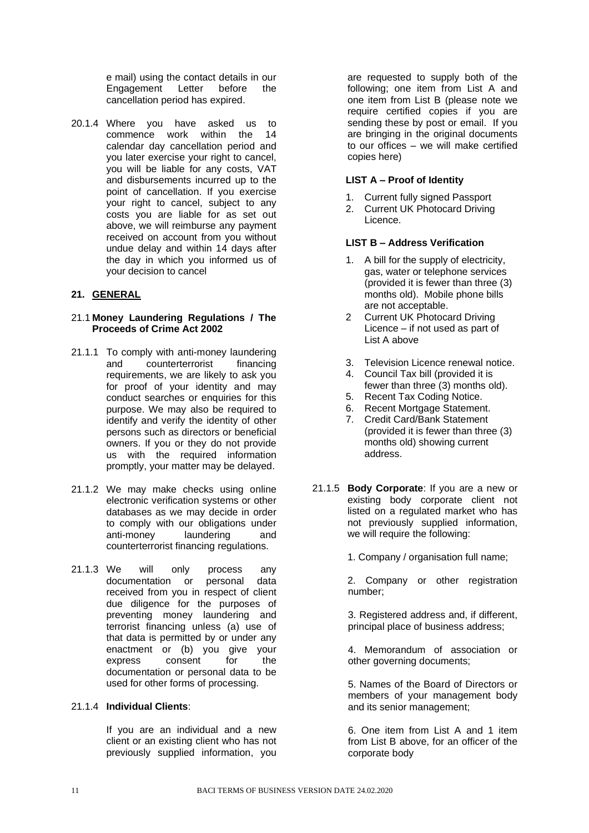e mail) using the contact details in our Engagement Letter before the cancellation period has expired.

20.1.4 Where you have asked us to commence work within the 14 calendar day cancellation period and you later exercise your right to cancel, you will be liable for any costs, VAT and disbursements incurred up to the point of cancellation. If you exercise your right to cancel, subject to any costs you are liable for as set out above, we will reimburse any payment received on account from you without undue delay and within 14 days after the day in which you informed us of your decision to cancel

## <span id="page-11-0"></span>**21. GENERAL**

#### 21.1 **Money Laundering Regulations / The Proceeds of Crime Act 2002**

- 21.1.1 To comply with anti-money laundering and counterterrorist financing requirements, we are likely to ask you for proof of your identity and may conduct searches or enquiries for this purpose. We may also be required to identify and verify the identity of other persons such as directors or beneficial owners. If you or they do not provide us with the required information promptly, your matter may be delayed.
- 21.1.2 We may make checks using online electronic verification systems or other databases as we may decide in order to comply with our obligations under anti-money laundering and counterterrorist financing regulations.
- 21.1.3 We will only process any documentation or personal data received from you in respect of client due diligence for the purposes of preventing money laundering and terrorist financing unless (a) use of that data is permitted by or under any enactment or (b) you give your express consent for the documentation or personal data to be used for other forms of processing.

## 21.1.4 **Individual Clients**:

If you are an individual and a new client or an existing client who has not previously supplied information, you

are requested to supply both of the following; one item from List A and one item from List B (please note we require certified copies if you are sending these by post or email. If you are bringing in the original documents to our offices – we will make certified copies here)

### **LIST A – Proof of Identity**

- 1. Current fully signed Passport
- 2. Current UK Photocard Driving Licence.

## **LIST B – Address Verification**

- 1. A bill for the supply of electricity, gas, water or telephone services (provided it is fewer than three (3) months old). Mobile phone bills are not acceptable.
- 2 Current UK Photocard Driving Licence – if not used as part of List A above
- 3. Television Licence renewal notice.
- 4. Council Tax bill (provided it is fewer than three (3) months old).
- 5. Recent Tax Coding Notice.
- 6. Recent Mortgage Statement.
- 7. Credit Card/Bank Statement (provided it is fewer than three (3) months old) showing current address.
- 21.1.5 **Body Corporate**: If you are a new or existing body corporate client not listed on a regulated market who has not previously supplied information, we will require the following:

1. Company / organisation full name;

2. Company or other registration number;

3. Registered address and, if different, principal place of business address;

4. Memorandum of association or other governing documents;

5. Names of the Board of Directors or members of your management body and its senior management;

6. One item from List A and 1 item from List B above, for an officer of the corporate body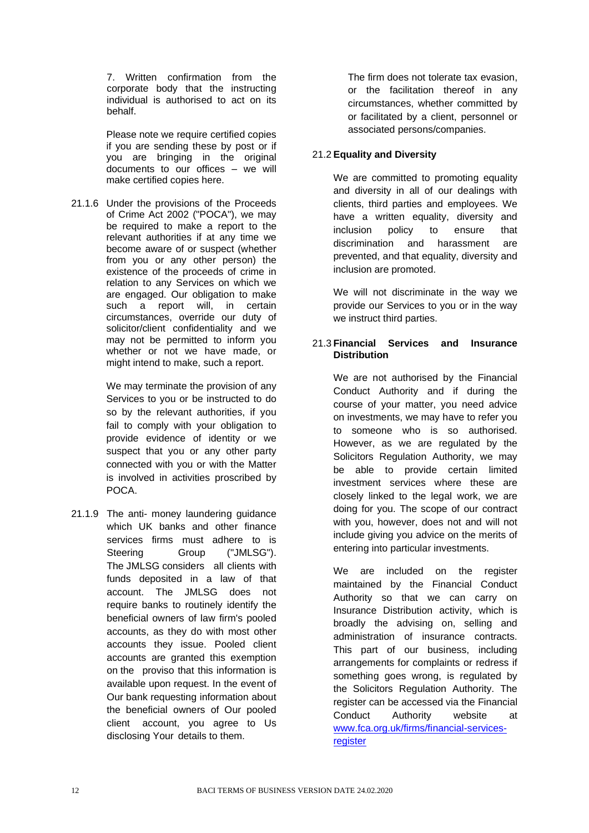7. Written confirmation from the corporate body that the instructing individual is authorised to act on its behalf.

Please note we require certified copies if you are sending these by post or if you are bringing in the original documents to our offices – we will make certified copies here.

21.1.6 Under the provisions of the Proceeds of Crime Act 2002 ("POCA"), we may be required to make a report to the relevant authorities if at any time we become aware of or suspect (whether from you or any other person) the existence of the proceeds of crime in relation to any Services on which we are engaged. Our obligation to make such a report will, in certain circumstances, override our duty of solicitor/client confidentiality and we may not be permitted to inform you whether or not we have made, or might intend to make, such a report.

> We may terminate the provision of any Services to you or be instructed to do so by the relevant authorities, if you fail to comply with your obligation to provide evidence of identity or we suspect that you or any other party connected with you or with the Matter is involved in activities proscribed by POCA.

21.1.9 The anti- money laundering guidance which UK banks and other finance services firms must adhere to is Steering Group ("JMLSG"). The JMLSG considers all clients with funds deposited in a law of that account. The JMLSG does not require banks to routinely identify the beneficial owners of law firm's pooled accounts, as they do with most other accounts they issue. Pooled client accounts are granted this exemption on the proviso that this information is available upon request. In the event of Our bank requesting information about the beneficial owners of Our pooled client account, you agree to Us disclosing Your details to them.

The firm does not tolerate tax evasion, or the facilitation thereof in any circumstances, whether committed by or facilitated by a client, personnel or associated persons/companies.

## 21.2 **Equality and Diversity**

We are committed to promoting equality and diversity in all of our dealings with clients, third parties and employees. We have a written equality, diversity and inclusion policy to ensure that discrimination and harassment are prevented, and that equality, diversity and inclusion are promoted.

We will not discriminate in the way we provide our Services to you or in the way we instruct third parties.

### 21.3 **Financial Services and Insurance Distribution**

We are not authorised by the Financial Conduct Authority and if during the course of your matter, you need advice on investments, we may have to refer you to someone who is so authorised. However, as we are regulated by the Solicitors Regulation Authority, we may be able to provide certain limited investment services where these are closely linked to the legal work, we are doing for you. The scope of our contract with you, however, does not and will not include giving you advice on the merits of entering into particular investments.

We are included on the register maintained by the Financial Conduct Authority so that we can carry on Insurance Distribution activity, which is broadly the advising on, selling and administration of insurance contracts. This part of our business, including arrangements for complaints or redress if something goes wrong, is regulated by the Solicitors Regulation Authority. The register can be accessed via the Financial Conduct Authority website at [www.fca.org.uk/firms/financial-services](http://www.fca.org.uk/firms/financial-services-register)[register](http://www.fca.org.uk/firms/financial-services-register)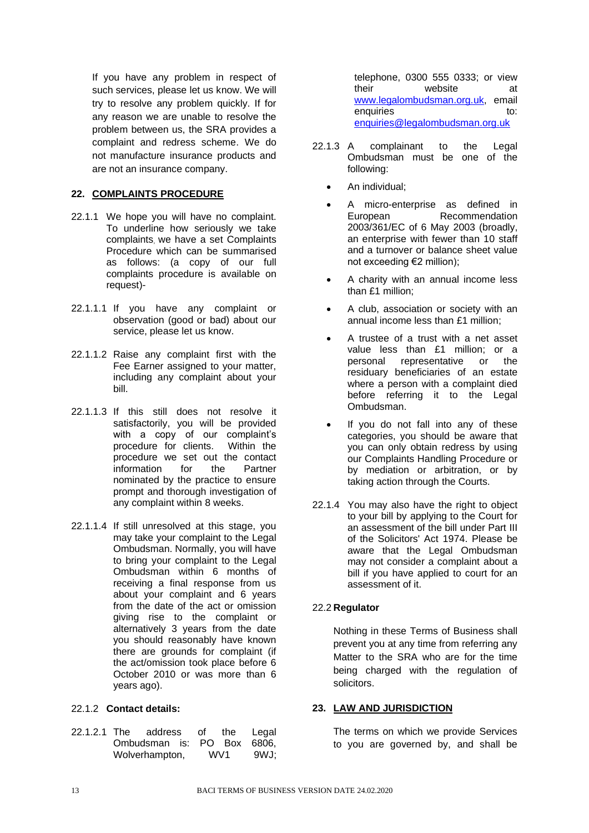If you have any problem in respect of such services, please let us know. We will try to resolve any problem quickly. If for any reason we are unable to resolve the problem between us, the SRA provides a complaint and redress scheme. We do not manufacture insurance products and are not an insurance company.

## <span id="page-13-0"></span>**22. COMPLAINTS PROCEDURE**

- 22.1.1 We hope you will have no complaint. To underline how seriously we take complaints, we have a set Complaints Procedure which can be summarised as follows: (a copy of our full complaints procedure is available on request)-
- 22.1.1.1 If you have any complaint or observation (good or bad) about our service, please let us know.
- 22.1.1.2 Raise any complaint first with the Fee Earner assigned to your matter, including any complaint about your bill.
- 22.1.1.3 If this still does not resolve it satisfactorily, you will be provided with a copy of our complaint's procedure for clients. Within the procedure we set out the contact information for the Partner nominated by the practice to ensure prompt and thorough investigation of any complaint within 8 weeks.
- 22.1.1.4 If still unresolved at this stage, you may take your complaint to the Legal Ombudsman. Normally, you will have to bring your complaint to the Legal Ombudsman within 6 months of receiving a final response from us about your complaint and 6 years from the date of the act or omission giving rise to the complaint or alternatively 3 years from the date you should reasonably have known there are grounds for complaint (if the act/omission took place before 6 October 2010 or was more than 6 years ago).

## 22.1.2 **Contact details:**

22.1.2.1 The address of the Legal Ombudsman is: PO Box 6806, Wolverhampton, WV1 9WJ;

telephone, 0300 555 0333; or view their website at [www.legalombudsman.org.uk,](http://www.legalombudsman.org.uk/) email enquiries to: to: [enquiries@legalombudsman.org.uk](mailto:enquiries@legalombudsman.org.uk)

- 22.1.3 A complainant to the Legal Ombudsman must be one of the following:
	- An individual;
	- A micro-enterprise as defined in European Recommendation 2003/361/EC of 6 May 2003 (broadly, an enterprise with fewer than 10 staff and a turnover or balance sheet value not exceeding €2 million);
	- A charity with an annual income less than £1 million;
	- A club, association or society with an annual income less than £1 million;
	- A trustee of a trust with a net asset value less than £1 million; or a personal representative or the residuary beneficiaries of an estate where a person with a complaint died before referring it to the Legal Ombudsman.
	- If you do not fall into any of these categories, you should be aware that you can only obtain redress by using our Complaints Handling Procedure or by mediation or arbitration, or by taking action through the Courts.
- 22.1.4 You may also have the right to object to your bill by applying to the Court for an assessment of the bill under Part III of the Solicitors' Act 1974. Please be aware that the Legal Ombudsman may not consider a complaint about a bill if you have applied to court for an assessment of it.

## 22.2 **Regulator**

Nothing in these Terms of Business shall prevent you at any time from referring any Matter to the SRA who are for the time being charged with the regulation of solicitors.

# <span id="page-13-1"></span>**23. LAW AND JURISDICTION**

The terms on which we provide Services to you are governed by, and shall be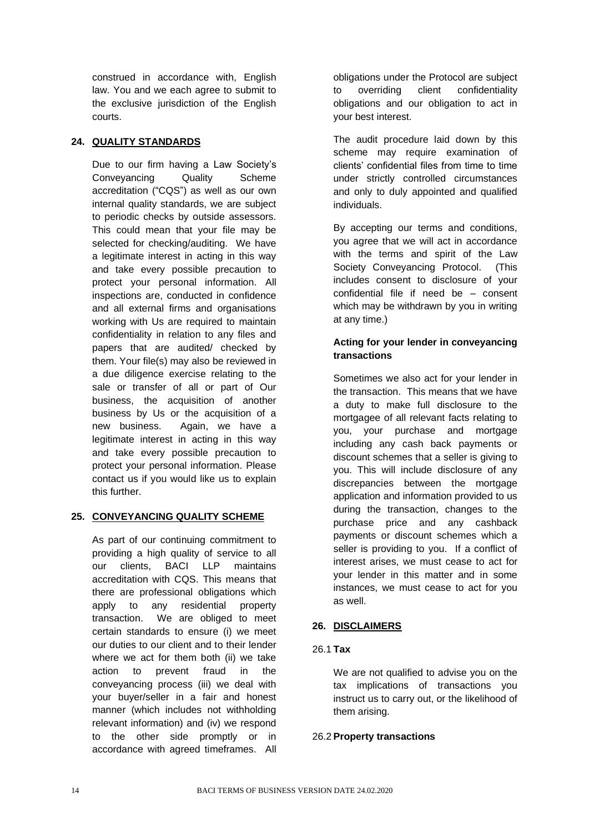construed in accordance with, English law. You and we each agree to submit to the exclusive jurisdiction of the English courts.

## <span id="page-14-0"></span>**24. QUALITY STANDARDS**

Due to our firm having a Law Society's Conveyancing Quality Scheme accreditation ("CQS") as well as our own internal quality standards, we are subject to periodic checks by outside assessors. This could mean that your file may be selected for checking/auditing. We have a legitimate interest in acting in this way and take every possible precaution to protect your personal information. All inspections are, conducted in confidence and all external firms and organisations working with Us are required to maintain confidentiality in relation to any files and papers that are audited/ checked by them. Your file(s) may also be reviewed in a due diligence exercise relating to the sale or transfer of all or part of Our business, the acquisition of another business by Us or the acquisition of a new business. Again, we have a legitimate interest in acting in this way and take every possible precaution to protect your personal information. Please contact us if you would like us to explain this further.

## <span id="page-14-1"></span>**25. CONVEYANCING QUALITY SCHEME**

As part of our continuing commitment to providing a high quality of service to all our clients, BACI LLP maintains accreditation with CQS. This means that there are professional obligations which apply to any residential property transaction. We are obliged to meet certain standards to ensure (i) we meet our duties to our client and to their lender where we act for them both (ii) we take action to prevent fraud in the conveyancing process (iii) we deal with your buyer/seller in a fair and honest manner (which includes not withholding relevant information) and (iv) we respond to the other side promptly or in accordance with agreed timeframes. All obligations under the Protocol are subject to overriding client confidentiality obligations and our obligation to act in your best interest.

The audit procedure laid down by this scheme may require examination of clients' confidential files from time to time under strictly controlled circumstances and only to duly appointed and qualified individuals.

By accepting our terms and conditions, you agree that we will act in accordance with the terms and spirit of the Law Society Conveyancing Protocol. (This includes consent to disclosure of your confidential file if need be – consent which may be withdrawn by you in writing at any time.)

## **Acting for your lender in conveyancing transactions**

Sometimes we also act for your lender in the transaction. This means that we have a duty to make full disclosure to the mortgagee of all relevant facts relating to you, your purchase and mortgage including any cash back payments or discount schemes that a seller is giving to you. This will include disclosure of any discrepancies between the mortgage application and information provided to us during the transaction, changes to the purchase price and any cashback payments or discount schemes which a seller is providing to you. If a conflict of interest arises, we must cease to act for your lender in this matter and in some instances, we must cease to act for you as well.

## <span id="page-14-2"></span>**26. DISCLAIMERS**

## 26.1 **Tax**

We are not qualified to advise you on the tax implications of transactions you instruct us to carry out, or the likelihood of them arising.

## 26.2 **Property transactions**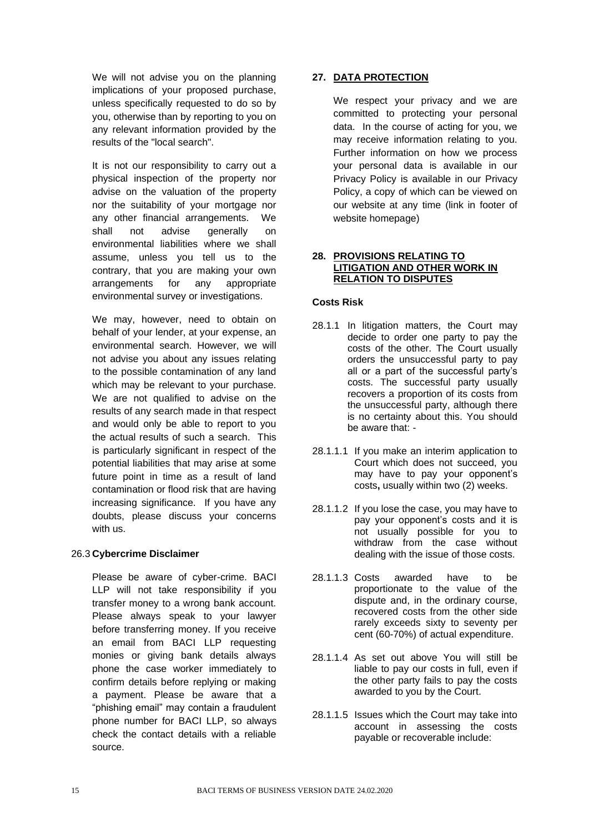We will not advise you on the planning implications of your proposed purchase, unless specifically requested to do so by you, otherwise than by reporting to you on any relevant information provided by the results of the "local search".

It is not our responsibility to carry out a physical inspection of the property nor advise on the valuation of the property nor the suitability of your mortgage nor any other financial arrangements. We shall not advise generally on environmental liabilities where we shall assume, unless you tell us to the contrary, that you are making your own arrangements for any appropriate environmental survey or investigations.

We may, however, need to obtain on behalf of your lender, at your expense, an environmental search. However, we will not advise you about any issues relating to the possible contamination of any land which may be relevant to your purchase. We are not qualified to advise on the results of any search made in that respect and would only be able to report to you the actual results of such a search. This is particularly significant in respect of the potential liabilities that may arise at some future point in time as a result of land contamination or flood risk that are having increasing significance. If you have any doubts, please discuss your concerns with us.

## 26.3 **Cybercrime Disclaimer**

Please be aware of cyber-crime. BACI LLP will not take responsibility if you transfer money to a wrong bank account. Please always speak to your lawyer before transferring money. If you receive an email from BACI LLP requesting monies or giving bank details always phone the case worker immediately to confirm details before replying or making a payment. Please be aware that a "phishing email" may contain a fraudulent phone number for BACI LLP, so always check the contact details with a reliable source.

## <span id="page-15-0"></span>**27. DATA PROTECTION**

We respect your privacy and we are committed to protecting your personal data. In the course of acting for you, we may receive information relating to you. Further information on how we process your personal data is available in our Privacy Policy is available in our Privacy Policy, a copy of which can be viewed on our website at any time (link in footer of website homepage)

#### <span id="page-15-1"></span>**28. PROVISIONS RELATING TO LITIGATION AND OTHER WORK IN RELATION TO DISPUTES**

## **Costs Risk**

- 28.1.1 In litigation matters, the Court may decide to order one party to pay the costs of the other. The Court usually orders the unsuccessful party to pay all or a part of the successful party's costs. The successful party usually recovers a proportion of its costs from the unsuccessful party, although there is no certainty about this. You should be aware that: -
- 28.1.1.1 If you make an interim application to Court which does not succeed, you may have to pay your opponent's costs**,** usually within two (2) weeks.
- 28.1.1.2 If you lose the case, you may have to pay your opponent's costs and it is not usually possible for you to withdraw from the case without dealing with the issue of those costs.
- 28.1.1.3 Costs awarded have to be proportionate to the value of the dispute and, in the ordinary course, recovered costs from the other side rarely exceeds sixty to seventy per cent (60-70%) of actual expenditure.
- 28.1.1.4 As set out above You will still be liable to pay our costs in full, even if the other party fails to pay the costs awarded to you by the Court.
- 28.1.1.5 Issues which the Court may take into account in assessing the costs payable or recoverable include: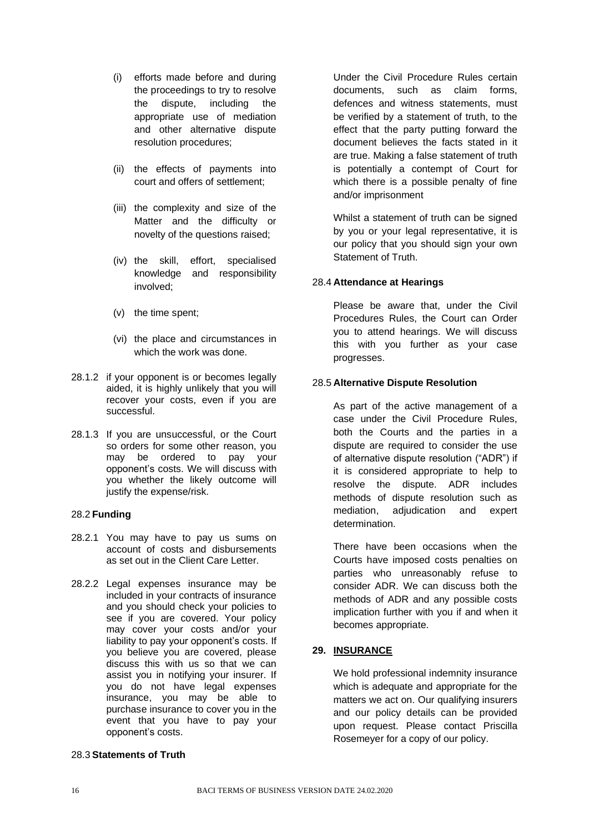- (i) efforts made before and during the proceedings to try to resolve the dispute, including the appropriate use of mediation and other alternative dispute resolution procedures;
- (ii) the effects of payments into court and offers of settlement;
- (iii) the complexity and size of the Matter and the difficulty or novelty of the questions raised;
- (iv) the skill, effort, specialised knowledge and responsibility involved;
- (v) the time spent;
- (vi) the place and circumstances in which the work was done.
- 28.1.2 if your opponent is or becomes legally aided, it is highly unlikely that you will recover your costs, even if you are successful.
- 28.1.3 If you are unsuccessful, or the Court so orders for some other reason, you may be ordered to pay your opponent's costs. We will discuss with you whether the likely outcome will justify the expense/risk.

## 28.2 **Funding**

- 28.2.1 You may have to pay us sums on account of costs and disbursements as set out in the Client Care Letter.
- 28.2.2 Legal expenses insurance may be included in your contracts of insurance and you should check your policies to see if you are covered. Your policy may cover your costs and/or your liability to pay your opponent's costs. If you believe you are covered, please discuss this with us so that we can assist you in notifying your insurer. If you do not have legal expenses insurance, you may be able to purchase insurance to cover you in the event that you have to pay your opponent's costs.

Under the Civil Procedure Rules certain documents, such as claim forms, defences and witness statements, must be verified by a statement of truth, to the effect that the party putting forward the document believes the facts stated in it are true. Making a false statement of truth is potentially a contempt of Court for which there is a possible penalty of fine and/or imprisonment

Whilst a statement of truth can be signed by you or your legal representative, it is our policy that you should sign your own Statement of Truth.

## 28.4 **Attendance at Hearings**

Please be aware that, under the Civil Procedures Rules, the Court can Order you to attend hearings. We will discuss this with you further as your case progresses.

## 28.5 **Alternative Dispute Resolution**

As part of the active management of a case under the Civil Procedure Rules, both the Courts and the parties in a dispute are required to consider the use of alternative dispute resolution ("ADR") if it is considered appropriate to help to resolve the dispute. ADR includes methods of dispute resolution such as mediation, adjudication and expert determination.

There have been occasions when the Courts have imposed costs penalties on parties who unreasonably refuse to consider ADR. We can discuss both the methods of ADR and any possible costs implication further with you if and when it becomes appropriate.

## <span id="page-16-0"></span>**29. INSURANCE**

We hold professional indemnity insurance which is adequate and appropriate for the matters we act on. Our qualifying insurers and our policy details can be provided upon request. Please contact Priscilla Rosemeyer for a copy of our policy.

# 28.3 **Statements of Truth**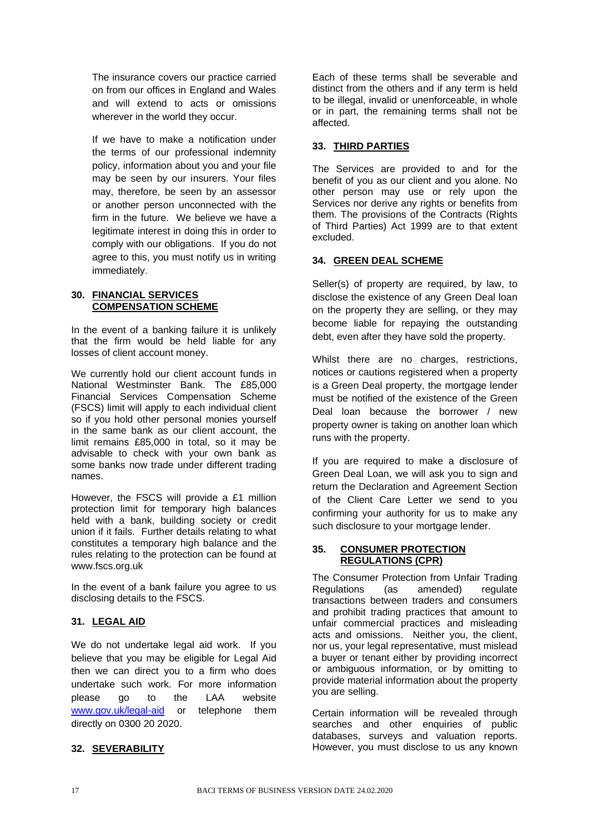The insurance covers our practice carried on from our offices in England and Wales and will extend to acts or omissions wherever in the world they occur.

If we have to make a notification under the terms of our professional indemnity policy, information about you and your file may be seen by our insurers. Your files may, therefore, be seen by an assessor or another person unconnected with the firm in the future. We believe we have a legitimate interest in doing this in order to comply with our obligations. If you do not agree to this, you must notify us in writing immediately.

#### <span id="page-17-0"></span>**30. FINANCIAL SERVICES COMPENSATION SCHEME**

In the event of a banking failure it is unlikely that the firm would be held liable for any losses of client account money.

We currently hold our client account funds in National Westminster Bank. The £85,000 Financial Services Compensation Scheme (FSCS) limit will apply to each individual client so if you hold other personal monies yourself in the same bank as our client account, the limit remains £85,000 in total, so it may be advisable to check with your own bank as some banks now trade under different trading names.

However, the FSCS will provide a £1 million protection limit for temporary high balances held with a bank, building society or credit union if it fails. Further details relating to what constitutes a temporary high balance and the rules relating to the protection can be found at www.fscs.org.uk

In the event of a bank failure you agree to us disclosing details to the FSCS.

## <span id="page-17-1"></span>**31. LEGAL AID**

We do not undertake legal aid work. If you believe that you may be eligible for Legal Aid then we can direct you to a firm who does undertake such work. For more information please go to the LAA website [www.gov.uk/legal-aid](http://www.gov.uk/legal-aid) or telephone them directly on 0300 20 2020.

Each of these terms shall be severable and distinct from the others and if any term is held to be illegal, invalid or unenforceable, in whole or in part, the remaining terms shall not be affected.

## <span id="page-17-3"></span>**33. THIRD PARTIES**

The Services are provided to and for the benefit of you as our client and you alone. No other person may use or rely upon the Services nor derive any rights or benefits from them. The provisions of the Contracts (Rights of Third Parties) Act 1999 are to that extent excluded.

## <span id="page-17-4"></span>**34. GREEN DEAL SCHEME**

Seller(s) of property are required, by law, to disclose the existence of any Green Deal loan on the property they are selling, or they may become liable for repaying the outstanding debt, even after they have sold the property.

Whilst there are no charges, restrictions, notices or cautions registered when a property is a Green Deal property, the mortgage lender must be notified of the existence of the Green Deal loan because the borrower / new property owner is taking on another loan which runs with the property.

If you are required to make a disclosure of Green Deal Loan, we will ask you to sign and return the Declaration and Agreement Section of the Client Care Letter we send to you confirming your authority for us to make any such disclosure to your mortgage lender.

## <span id="page-17-5"></span>**35. CONSUMER PROTECTION REGULATIONS (CPR)**

The Consumer Protection from Unfair Trading Regulations (as amended) regulate transactions between traders and consumers and prohibit trading practices that amount to unfair commercial practices and misleading acts and omissions. Neither you, the client, nor us, your legal representative, must mislead a buyer or tenant either by providing incorrect or ambiguous information, or by omitting to provide material information about the property you are selling.

Certain information will be revealed through searches and other enquiries of public databases, surveys and valuation reports. However, you must disclose to us any known

# <span id="page-17-2"></span>**32. SEVERABILITY**